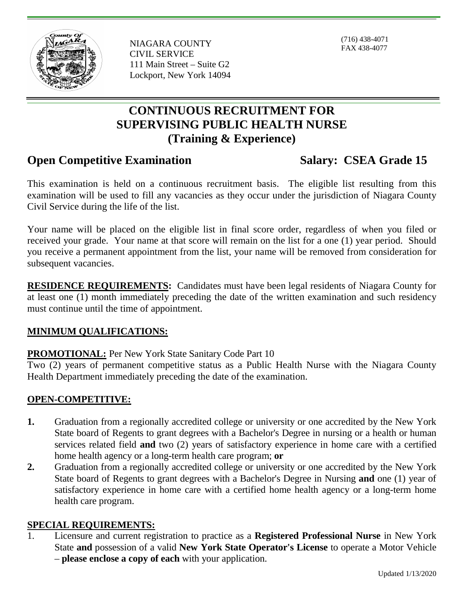

NIAGARA COUNTY CIVIL SERVICE 111 Main Street – Suite G2 Lockport, New York 14094

(716) 438-4071 FAX 438-4077

# **CONTINUOUS RECRUITMENT FOR SUPERVISING PUBLIC HEALTH NURSE (Training & Experience)**

## **Open Competitive Examination Salary: CSEA Grade 15**

This examination is held on a continuous recruitment basis. The eligible list resulting from this examination will be used to fill any vacancies as they occur under the jurisdiction of Niagara County Civil Service during the life of the list.

Your name will be placed on the eligible list in final score order, regardless of when you filed or received your grade. Your name at that score will remain on the list for a one (1) year period. Should you receive a permanent appointment from the list, your name will be removed from consideration for subsequent vacancies.

**RESIDENCE REQUIREMENTS:** Candidates must have been legal residents of Niagara County for at least one (1) month immediately preceding the date of the written examination and such residency must continue until the time of appointment.

#### **MINIMUM QUALIFICATIONS:**

### **PROMOTIONAL:** Per New York State Sanitary Code Part 10

Two (2) years of permanent competitive status as a Public Health Nurse with the Niagara County Health Department immediately preceding the date of the examination.

### **OPEN-COMPETITIVE:**

- **1.** Graduation from a regionally accredited college or university or one accredited by the New York State board of Regents to grant degrees with a Bachelor's Degree in nursing or a health or human services related field **and** two (2) years of satisfactory experience in home care with a certified home health agency or a long-term health care program; **or**
- **2.** Graduation from a regionally accredited college or university or one accredited by the New York State board of Regents to grant degrees with a Bachelor's Degree in Nursing **and** one (1) year of satisfactory experience in home care with a certified home health agency or a long-term home health care program.

#### **SPECIAL REQUIREMENTS:**

1. Licensure and current registration to practice as a **Registered Professional Nurse** in New York State **and** possession of a valid **New York State Operator's License** to operate a Motor Vehicle – **please enclose a copy of each** with your application.